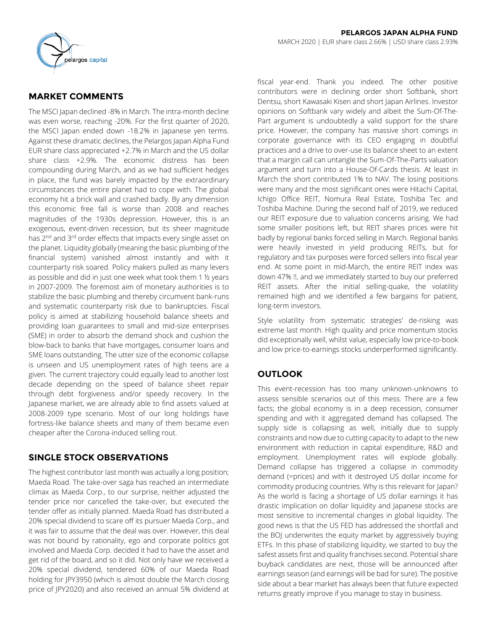

# **MARKET COMMENTS**

The MSCI Japan declined -8% in March. The intra-month decline was even worse, reaching -20%. For the first quarter of 2020, the MSCI Japan ended down -18.2% in Japanese yen terms. Against these dramatic declines, the Pelargos Japan Alpha Fund EUR share class appreciated +2.7% in March and the US dollar share class +2.9%. The economic distress has been compounding during March, and as we had sufficient hedges in place, the fund was barely impacted by the extraordinary circumstances the entire planet had to cope with. The global economy hit a brick wall and crashed badly. By any dimension this economic free fall is worse than 2008 and reaches magnitudes of the 1930s depression. However, this is an exogenous, event-driven recession, but its sheer magnitude has 2<sup>nd</sup> and 3<sup>rd</sup> order effects that impacts every single asset on the planet. Liquidity globally (meaning the basic plumbing of the financial system) vanished almost instantly and with it counterparty risk soared. Policy makers pulled as many levers as possible and did in just one week what took them 1 ½ years in 2007-2009. The foremost aim of monetary authorities is to stabilize the basic plumbing and thereby circumvent bank-runs and systematic counterparty risk due to bankruptcies. Fiscal policy is aimed at stabilizing household balance sheets and providing loan guarantees to small and mid-size enterprises (SME) in order to absorb the demand shock and cushion the blow-back to banks that have mortgages, consumer loans and SME loans outstanding. The utter size of the economic collapse is unseen and US unemployment rates of high teens are a given. The current trajectory could equally lead to another lost decade depending on the speed of balance sheet repair through debt forgiveness and/or speedy recovery. In the Japanese market, we are already able to find assets valued at 2008-2009 type scenario. Most of our long holdings have fortress-like balance sheets and many of them became even cheaper after the Corona-induced selling rout.

## **SINGLE STOCK OBSERVATIONS**

The highest contributor last month was actually a long position; Maeda Road. The take-over saga has reached an intermediate climax as Maeda Corp., to our surprise, neither adjusted the tender price nor cancelled the take-over, but executed the tender offer as initially planned. Maeda Road has distributed a 20% special dividend to scare off its pursuer Maeda Corp., and it was fair to assume that the deal was over. However, this deal was not bound by rationality, ego and corporate politics got involved and Maeda Corp. decided it had to have the asset and get rid of the board, and so it did. Not only have we received a 20% special dividend, tendered 60% of our Maeda Road holding for JPY3950 (which is almost double the March closing price of JPY2020) and also received an annual 5% dividend at fiscal year-end. Thank you indeed. The other positive contributors were in declining order short Softbank, short Dentsu, short Kawasaki Kisen and short Japan Airlines. Investor opinions on Softbank vary widely and albeit the Sum-Of-The-Part argument is undoubtedly a valid support for the share price. However, the company has massive short comings in corporate governance with its CEO engaging in doubtful practices and a drive to over-use its balance sheet to an extent that a margin call can untangle the Sum-Of-The-Parts valuation argument and turn into a House-Of-Cards thesis. At least in March the short contributed 1% to NAV. The losing positions were many and the most significant ones were Hitachi Capital, Ichigo Office REIT, Nomura Real Estate, Toshiba Tec and Toshiba Machine. During the second half of 2019, we reduced our REIT exposure due to valuation concerns arising. We had some smaller positions left, but REIT shares prices were hit badly by regional banks forced selling in March. Regional banks were heavily invested in yield producing REITs, but for regulatory and tax purposes were forced sellers into fiscal year end. At some point in mid-March, the entire REIT index was down 47% !!, and we immediately started to buy our preferred REIT assets. After the initial selling-quake, the volatility remained high and we identified a few bargains for patient, long-term investors.

Style volatility from systematic strategies' de-risking was extreme last month. High quality and price momentum stocks did exceptionally well, whilst value, especially low price-to-book and low price-to-earnings stocks underperformed significantly.

# **OUTLOOK**

This event-recession has too many unknown-unknowns to assess sensible scenarios out of this mess. There are a few facts; the global economy is in a deep recession, consumer spending and with it aggregated demand has collapsed. The supply side is collapsing as well, initially due to supply constraints and now due to cutting capacity to adapt to the new environment with reduction in capital expenditure, R&D and employment. Unemployment rates will explode globally. Demand collapse has triggered a collapse in commodity demand (=prices) and with it destroyed US dollar income for commodity producing countries. Why is this relevant for Japan? As the world is facing a shortage of US dollar earnings it has drastic implication on dollar liquidity and Japanese stocks are most sensitive to incremental changes in global liquidity. The good news is that the US FED has addressed the shortfall and the BOJ underwrites the equity market by aggressively buying ETFs. In this phase of stabilizing liquidity, we started to buy the safest assets first and quality franchises second. Potential share buyback candidates are next, those will be announced after earnings season (and earnings will be bad for sure). The positive side about a bear market has always been that future expected returns greatly improve if you manage to stay in business.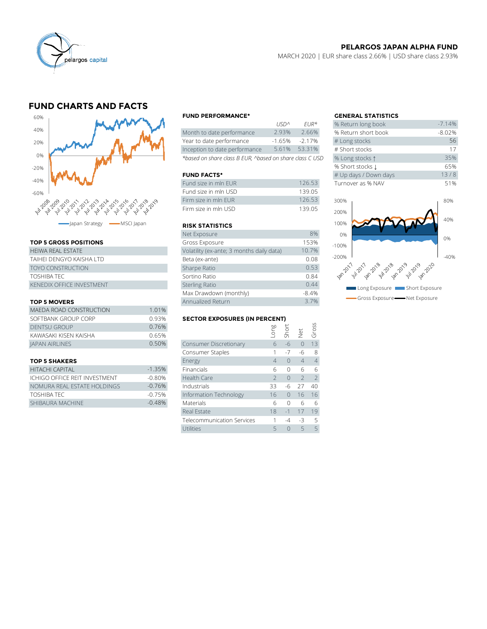

## **PELARGOS JAPAN ALPHA FUND**

MARCH 2020 | EUR share class 2.66% | USD share class 2.93%

# **FUND CHARTS AND FACTS**



#### **TOP 5 GROSS POSITIONS**

| HFIWA RFAI FSTATF                | Volatility (ex-ante; 3 months daily data) |
|----------------------------------|-------------------------------------------|
| TAIHEI DENGYO KAISHA LTD         | Beta (ex-ante)                            |
| <b>TOYO CONSTRUCTION</b>         | Sharpe Ratio                              |
| TOSHIBA TEC                      | Sortino Ratio                             |
| <b>KENEDIX OFFICE INVESTMENT</b> | <b>Sterling Ratio</b>                     |

#### **TOP 5 MOVERS**

|                         |                   | Max Drawdown (monthly)               |      | -8.4%          |               |                |
|-------------------------|-------------------|--------------------------------------|------|----------------|---------------|----------------|
| <b>TOP 5 MOVERS</b>     | Annualized Return |                                      | 3.7% |                |               |                |
| MAEDA ROAD CONSTRUCTION | 1.01%             |                                      |      |                |               |                |
| SOFTBANK GROUP CORP     | 0.93%             | <b>SECTOR EXPOSURES (IN PERCENT)</b> |      |                |               |                |
| <b>DENTSU GROUP</b>     | 0.76%             |                                      | guo. | Shori<br>Shori |               | aross<br>Gross |
| KAWASAKI KISEN KAISHA   | 0.65%             |                                      |      |                | $\frac{1}{2}$ |                |
| <b>JAPAN AIRLINES</b>   | 0.50%             | Consumer Discretionary               | 6    | $-6$           |               | 13             |
|                         |                   | Consumer Staples                     |      | $-1$           | -6            | -8             |
|                         |                   |                                      |      |                |               |                |

#### **TOP 5 SHAKERS**

| HITACHI CAPITAI               | $-1.35%$ |
|-------------------------------|----------|
| ICHIGO OFFICE REIT INVESTMENT | $-0.80%$ |
| NOMURA REAL ESTATE HOLDINGS   | $-0.76%$ |
| TOSHIBA TEC                   | $-0.75%$ |
| SHIBAURA MACHINE              | $-0.48%$ |

#### **FUND PERFORMANCE\* GENERAL STATISTICS**

|                                                          | 115D <sub>2</sub> | $FIR*$   | % Return long book  |
|----------------------------------------------------------|-------------------|----------|---------------------|
| Month to date performance                                | 2.93%             | 2.66%    | % Return short book |
| Year to date performance                                 | $-1.65%$          | $-2.17%$ | # Long stocks       |
| Inception to date performance                            | 5.61%             | 53.31%   | # Short stocks      |
| *based on share class B EUR, ^based on share class C USD | % Long stocks 1   |          |                     |

### **FUND FACTS\***

| Fund size in mln EUR   | 126.53 |         | Turnover as % NAV |
|------------------------|--------|---------|-------------------|
| Fund size in mln USD   | 139.05 |         |                   |
| Firm size in mln EUR   | 126.53 | 300%    |                   |
| Firm size in mln USD   | 139.05 | 200%    |                   |
| <b>RISK STATISTICS</b> |        | 100%    |                   |
| Net Exposure           | 8%     | 0%      |                   |
| Gross Exposure         | 153%   | $-100%$ |                   |
|                        |        |         |                   |

#### **RISK STATISTICS**

| Net Exposure                              | 8%      |
|-------------------------------------------|---------|
| Gross Exposure                            | 153%    |
| Volatility (ex-ante; 3 months daily data) | 10.7%   |
| Beta (ex-ante)                            | 0.08    |
| Sharpe Ratio                              | 0.53    |
| Sortino Ratio                             | 0.84    |
| <b>Sterling Ratio</b>                     | 0.44    |
| Max Drawdown (monthly)                    | $-8.4%$ |
| Annualized Return                         | 3.7%    |

#### **SECTOR EXPOSURES (IN PERCENT)**

| <b>DENTSU GROUP</b>           | 0.76%    |                            | Long | Short    |                | Gross          |
|-------------------------------|----------|----------------------------|------|----------|----------------|----------------|
| KAWASAKI KISEN KAISHA         | 0.65%    |                            |      |          | $\frac{1}{2}$  |                |
| <b>JAPAN AIRLINES</b>         | 0.50%    | Consumer Discretionary     | 6    | $-6$     | $\Omega$       | 13             |
|                               |          | Consumer Staples           |      | $-7$     | -6             | 8              |
| <b>TOP 5 SHAKERS</b>          |          | Energy                     | 4    | $\Omega$ | $\overline{4}$ | $\overline{4}$ |
| HITACHI CAPITAL               | $-1.35%$ | Financials                 | 6    | $\Omega$ | 6              | 6              |
| ICHIGO OFFICE REIT INVESTMENT | $-0.80%$ | <b>Health Care</b>         |      | $\Omega$ | $\overline{2}$ | $\mathcal{L}$  |
| NOMURA REAL ESTATE HOLDINGS   | $-0.76%$ | Industrials                | 33   | -6       | 27             | 40             |
| TOSHIBA TEC                   | $-0.75%$ | Information Technology     | 16   | $\Omega$ | 16             | 16             |
| SHIBAURA MACHINE              | $-0.48%$ | Materials                  | 6    | $\Omega$ | 6              | 6              |
|                               |          | Real Estate                | 18   | $-1$     | 17             | 19             |
|                               |          | Telecommunication Services |      | $-4$     | $-3$           | .5             |
|                               |          | Utilities                  |      | $\Omega$ | 5              | 5              |

| <b>GENERAL STATISTICS</b> |          |
|---------------------------|----------|
| % Return long book        | $-7.14%$ |
| % Return short book       | $-8.02%$ |
| # Long stocks             | 56       |
| # Short stocks            | 17       |
| % Long stocks 1           | 35%      |
| % Short stocks 1          | 65%      |
| # Up days / Down days     | 13/8     |
| Turnover as % NAV         | 51%      |